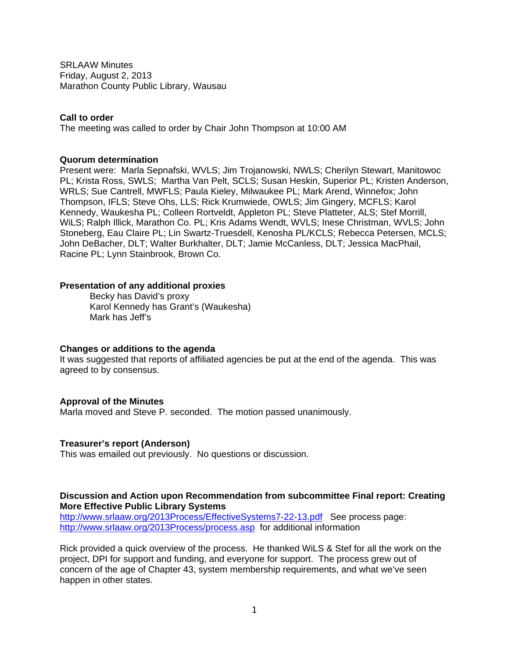SRLAAW Minutes Friday, August 2, 2013 Marathon County Public Library, Wausau

#### **Call to order**

The meeting was called to order by Chair John Thompson at 10:00 AM

#### **Quorum determination**

Present were: Marla Sepnafski, WVLS; Jim Trojanowski, NWLS; Cherilyn Stewart, Manitowoc PL; Krista Ross, SWLS; Martha Van Pelt, SCLS; Susan Heskin, Superior PL; Kristen Anderson, WRLS; Sue Cantrell, MWFLS; Paula Kieley, Milwaukee PL; Mark Arend, Winnefox; John Thompson, IFLS; Steve Ohs, LLS; Rick Krumwiede, OWLS; Jim Gingery, MCFLS; Karol Kennedy, Waukesha PL; Colleen Rortveldt, Appleton PL; Steve Platteter, ALS; Stef Morrill, WiLS; Ralph Illick, Marathon Co. PL; Kris Adams Wendt, WVLS; Inese Christman, WVLS; John Stoneberg, Eau Claire PL; Lin Swartz-Truesdell, Kenosha PL/KCLS; Rebecca Petersen, MCLS; John DeBacher, DLT; Walter Burkhalter, DLT; Jamie McCanless, DLT; Jessica MacPhail, Racine PL; Lynn Stainbrook, Brown Co.

#### **Presentation of any additional proxies**

Becky has David's proxy Karol Kennedy has Grant's (Waukesha) Mark has Jeff's

#### **Changes or additions to the agenda**

It was suggested that reports of affiliated agencies be put at the end of the agenda. This was agreed to by consensus.

### **Approval of the Minutes**

Marla moved and Steve P. seconded. The motion passed unanimously.

### **Treasurer's report (Anderson)**

This was emailed out previously. No questions or discussion.

#### **Discussion and Action upon Recommendation from subcommittee Final report: Creating More Effective Public Library Systems**

http://www.srlaaw.org/2013Process/EffectiveSystems7-22-13.pdf See process page: http://www.srlaaw.org/2013Process/process.asp for additional information

Rick provided a quick overview of the process. He thanked WiLS & Stef for all the work on the project, DPI for support and funding, and everyone for support. The process grew out of concern of the age of Chapter 43, system membership requirements, and what we've seen happen in other states.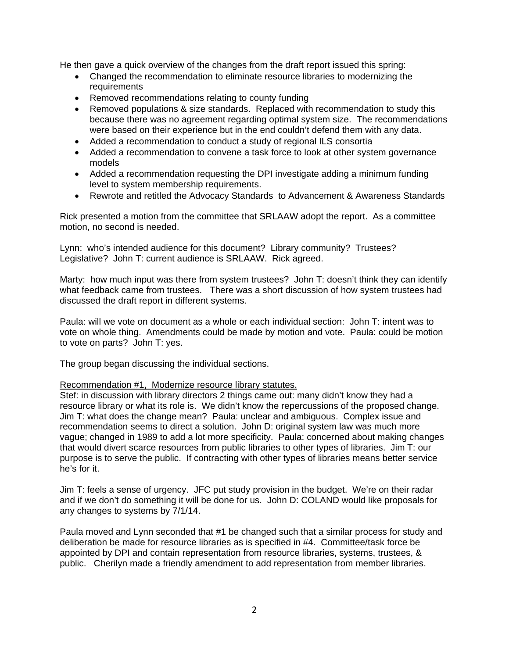He then gave a quick overview of the changes from the draft report issued this spring:

- Changed the recommendation to eliminate resource libraries to modernizing the requirements
- Removed recommendations relating to county funding
- Removed populations & size standards. Replaced with recommendation to study this because there was no agreement regarding optimal system size. The recommendations were based on their experience but in the end couldn't defend them with any data.
- Added a recommendation to conduct a study of regional ILS consortia
- Added a recommendation to convene a task force to look at other system governance models
- Added a recommendation requesting the DPI investigate adding a minimum funding level to system membership requirements.
- Rewrote and retitled the Advocacy Standards to Advancement & Awareness Standards

Rick presented a motion from the committee that SRLAAW adopt the report. As a committee motion, no second is needed.

Lynn: who's intended audience for this document? Library community? Trustees? Legislative? John T: current audience is SRLAAW. Rick agreed.

Marty: how much input was there from system trustees? John T: doesn't think they can identify what feedback came from trustees. There was a short discussion of how system trustees had discussed the draft report in different systems.

Paula: will we vote on document as a whole or each individual section: John T: intent was to vote on whole thing. Amendments could be made by motion and vote. Paula: could be motion to vote on parts? John T: yes.

The group began discussing the individual sections.

### Recommendation #1, Modernize resource library statutes.

Stef: in discussion with library directors 2 things came out: many didn't know they had a resource library or what its role is. We didn't know the repercussions of the proposed change. Jim T: what does the change mean? Paula: unclear and ambiguous. Complex issue and recommendation seems to direct a solution. John D: original system law was much more vague; changed in 1989 to add a lot more specificity. Paula: concerned about making changes that would divert scarce resources from public libraries to other types of libraries. Jim T: our purpose is to serve the public. If contracting with other types of libraries means better service he's for it.

Jim T: feels a sense of urgency. JFC put study provision in the budget. We're on their radar and if we don't do something it will be done for us. John D: COLAND would like proposals for any changes to systems by 7/1/14.

Paula moved and Lynn seconded that #1 be changed such that a similar process for study and deliberation be made for resource libraries as is specified in #4. Committee/task force be appointed by DPI and contain representation from resource libraries, systems, trustees, & public. Cherilyn made a friendly amendment to add representation from member libraries.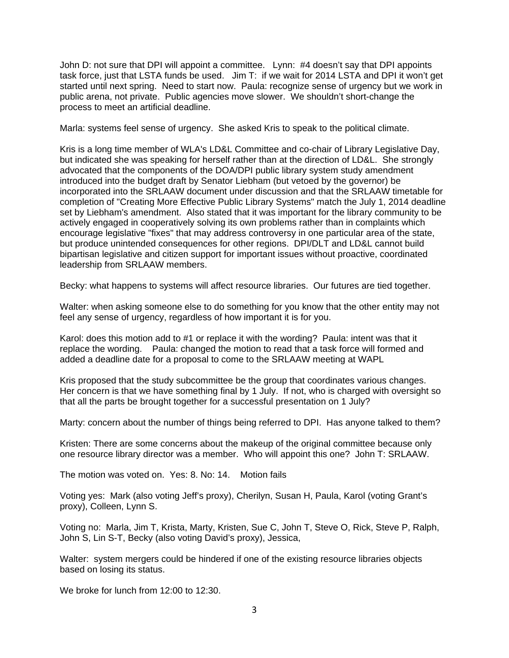John D: not sure that DPI will appoint a committee. Lynn: #4 doesn't say that DPI appoints task force, just that LSTA funds be used. Jim T: if we wait for 2014 LSTA and DPI it won't get started until next spring. Need to start now. Paula: recognize sense of urgency but we work in public arena, not private. Public agencies move slower. We shouldn't short-change the process to meet an artificial deadline.

Marla: systems feel sense of urgency. She asked Kris to speak to the political climate.

Kris is a long time member of WLA's LD&L Committee and co-chair of Library Legislative Day, but indicated she was speaking for herself rather than at the direction of LD&L. She strongly advocated that the components of the DOA/DPI public library system study amendment introduced into the budget draft by Senator Liebham (but vetoed by the governor) be incorporated into the SRLAAW document under discussion and that the SRLAAW timetable for completion of "Creating More Effective Public Library Systems" match the July 1, 2014 deadline set by Liebham's amendment. Also stated that it was important for the library community to be actively engaged in cooperatively solving its own problems rather than in complaints which encourage legislative "fixes" that may address controversy in one particular area of the state, but produce unintended consequences for other regions. DPI/DLT and LD&L cannot build bipartisan legislative and citizen support for important issues without proactive, coordinated leadership from SRLAAW members.

Becky: what happens to systems will affect resource libraries. Our futures are tied together.

Walter: when asking someone else to do something for you know that the other entity may not feel any sense of urgency, regardless of how important it is for you.

Karol: does this motion add to #1 or replace it with the wording? Paula: intent was that it replace the wording. Paula: changed the motion to read that a task force will formed and added a deadline date for a proposal to come to the SRLAAW meeting at WAPL

Kris proposed that the study subcommittee be the group that coordinates various changes. Her concern is that we have something final by 1 July. If not, who is charged with oversight so that all the parts be brought together for a successful presentation on 1 July?

Marty: concern about the number of things being referred to DPI. Has anyone talked to them?

Kristen: There are some concerns about the makeup of the original committee because only one resource library director was a member. Who will appoint this one? John T: SRLAAW.

The motion was voted on. Yes: 8. No: 14. Motion fails

Voting yes: Mark (also voting Jeff's proxy), Cherilyn, Susan H, Paula, Karol (voting Grant's proxy), Colleen, Lynn S.

Voting no: Marla, Jim T, Krista, Marty, Kristen, Sue C, John T, Steve O, Rick, Steve P, Ralph, John S, Lin S-T, Becky (also voting David's proxy), Jessica,

Walter: system mergers could be hindered if one of the existing resource libraries objects based on losing its status.

We broke for lunch from 12:00 to 12:30.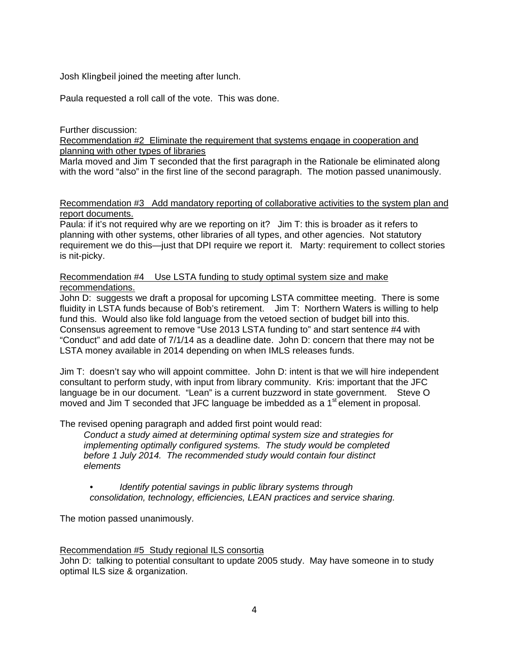Josh Klingbeil joined the meeting after lunch.

Paula requested a roll call of the vote. This was done.

Further discussion:

Recommendation #2 Eliminate the requirement that systems engage in cooperation and planning with other types of libraries

Marla moved and Jim T seconded that the first paragraph in the Rationale be eliminated along with the word "also" in the first line of the second paragraph. The motion passed unanimously.

### Recommendation #3 Add mandatory reporting of collaborative activities to the system plan and report documents.

Paula: if it's not required why are we reporting on it? Jim T: this is broader as it refers to planning with other systems, other libraries of all types, and other agencies. Not statutory requirement we do this—just that DPI require we report it. Marty: requirement to collect stories is nit-picky.

## Recommendation #4 Use LSTA funding to study optimal system size and make recommendations.

John D: suggests we draft a proposal for upcoming LSTA committee meeting. There is some fluidity in LSTA funds because of Bob's retirement. Jim T: Northern Waters is willing to help fund this. Would also like fold language from the vetoed section of budget bill into this. Consensus agreement to remove "Use 2013 LSTA funding to" and start sentence #4 with "Conduct" and add date of 7/1/14 as a deadline date. John D: concern that there may not be LSTA money available in 2014 depending on when IMLS releases funds.

Jim T: doesn't say who will appoint committee. John D: intent is that we will hire independent consultant to perform study, with input from library community. Kris: important that the JFC language be in our document. "Lean" is a current buzzword in state government. Steve O moved and Jim T seconded that JFC language be imbedded as a 1<sup>st</sup> element in proposal.

The revised opening paragraph and added first point would read:

*Conduct a study aimed at determining optimal system size and strategies for implementing optimally configured systems. The study would be completed before 1 July 2014. The recommended study would contain four distinct elements* 

*• Identify potential savings in public library systems through consolidation, technology, efficiencies, LEAN practices and service sharing.* 

The motion passed unanimously.

# Recommendation #5 Study regional ILS consortia

John D: talking to potential consultant to update 2005 study. May have someone in to study optimal ILS size & organization.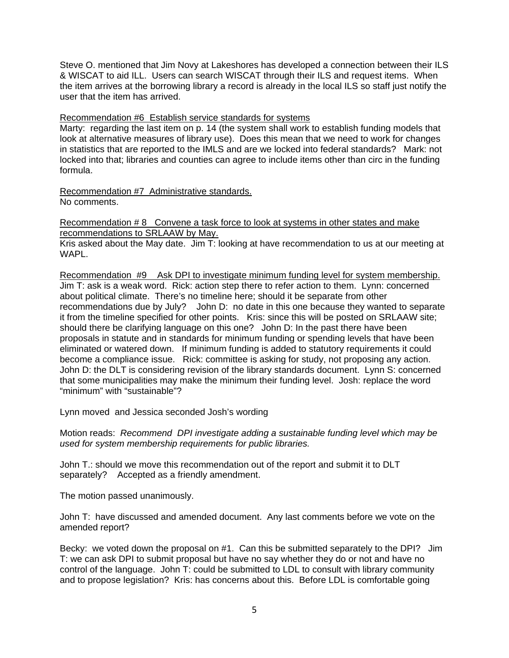Steve O. mentioned that Jim Novy at Lakeshores has developed a connection between their ILS & WISCAT to aid ILL. Users can search WISCAT through their ILS and request items. When the item arrives at the borrowing library a record is already in the local ILS so staff just notify the user that the item has arrived.

### Recommendation #6 Establish service standards for systems

Marty: regarding the last item on p. 14 (the system shall work to establish funding models that look at alternative measures of library use). Does this mean that we need to work for changes in statistics that are reported to the IMLS and are we locked into federal standards? Mark: not locked into that; libraries and counties can agree to include items other than circ in the funding formula.

Recommendation #7 Administrative standards. No comments.

Recommendation # 8 Convene a task force to look at systems in other states and make recommendations to SRLAAW by May.

Kris asked about the May date. Jim T: looking at have recommendation to us at our meeting at WAPL.

Recommendation #9 Ask DPI to investigate minimum funding level for system membership. Jim T: ask is a weak word. Rick: action step there to refer action to them. Lynn: concerned about political climate. There's no timeline here; should it be separate from other recommendations due by July? John D: no date in this one because they wanted to separate it from the timeline specified for other points. Kris: since this will be posted on SRLAAW site; should there be clarifying language on this one? John D: In the past there have been proposals in statute and in standards for minimum funding or spending levels that have been eliminated or watered down. If minimum funding is added to statutory requirements it could become a compliance issue. Rick: committee is asking for study, not proposing any action. John D: the DLT is considering revision of the library standards document. Lynn S: concerned that some municipalities may make the minimum their funding level. Josh: replace the word "minimum" with "sustainable"?

Lynn moved and Jessica seconded Josh's wording

Motion reads: *Recommend DPI investigate adding a sustainable funding level which may be used for system membership requirements for public libraries.* 

John T.: should we move this recommendation out of the report and submit it to DLT separately? Accepted as a friendly amendment.

The motion passed unanimously.

John T: have discussed and amended document. Any last comments before we vote on the amended report?

Becky: we voted down the proposal on #1. Can this be submitted separately to the DPI? Jim T: we can ask DPI to submit proposal but have no say whether they do or not and have no control of the language. John T: could be submitted to LDL to consult with library community and to propose legislation? Kris: has concerns about this. Before LDL is comfortable going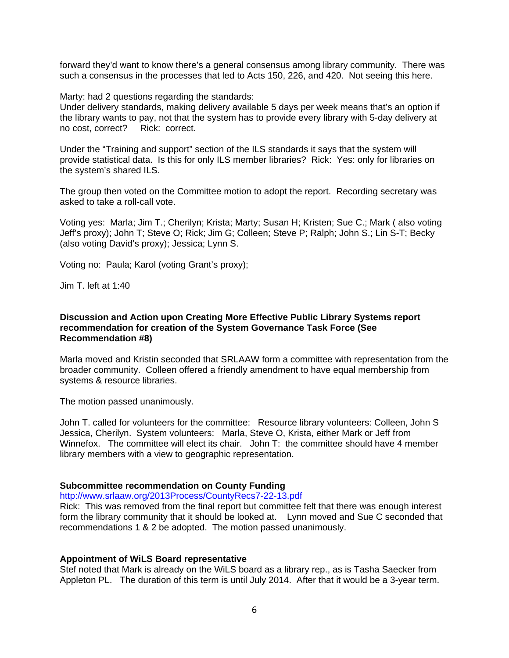forward they'd want to know there's a general consensus among library community. There was such a consensus in the processes that led to Acts 150, 226, and 420. Not seeing this here.

Marty: had 2 questions regarding the standards:

Under delivery standards, making delivery available 5 days per week means that's an option if the library wants to pay, not that the system has to provide every library with 5-day delivery at no cost, correct? Rick: correct.

Under the "Training and support" section of the ILS standards it says that the system will provide statistical data. Is this for only ILS member libraries? Rick: Yes: only for libraries on the system's shared ILS.

The group then voted on the Committee motion to adopt the report. Recording secretary was asked to take a roll-call vote.

Voting yes: Marla; Jim T.; Cherilyn; Krista; Marty; Susan H; Kristen; Sue C.; Mark ( also voting Jeff's proxy); John T; Steve O; Rick; Jim G; Colleen; Steve P; Ralph; John S.; Lin S-T; Becky (also voting David's proxy); Jessica; Lynn S.

Voting no: Paula; Karol (voting Grant's proxy);

Jim T. left at 1:40

### **Discussion and Action upon Creating More Effective Public Library Systems report recommendation for creation of the System Governance Task Force (See Recommendation #8)**

Marla moved and Kristin seconded that SRLAAW form a committee with representation from the broader community. Colleen offered a friendly amendment to have equal membership from systems & resource libraries.

The motion passed unanimously.

John T. called for volunteers for the committee: Resource library volunteers: Colleen, John S Jessica, Cherilyn. System volunteers: Marla, Steve O, Krista, either Mark or Jeff from Winnefox. The committee will elect its chair. John T: the committee should have 4 member library members with a view to geographic representation.

### **Subcommittee recommendation on County Funding**

http://www.srlaaw.org/2013Process/CountyRecs7-22-13.pdf

Rick: This was removed from the final report but committee felt that there was enough interest form the library community that it should be looked at. Lynn moved and Sue C seconded that recommendations 1 & 2 be adopted. The motion passed unanimously.

### **Appointment of WiLS Board representative**

Stef noted that Mark is already on the WiLS board as a library rep., as is Tasha Saecker from Appleton PL. The duration of this term is until July 2014. After that it would be a 3-year term.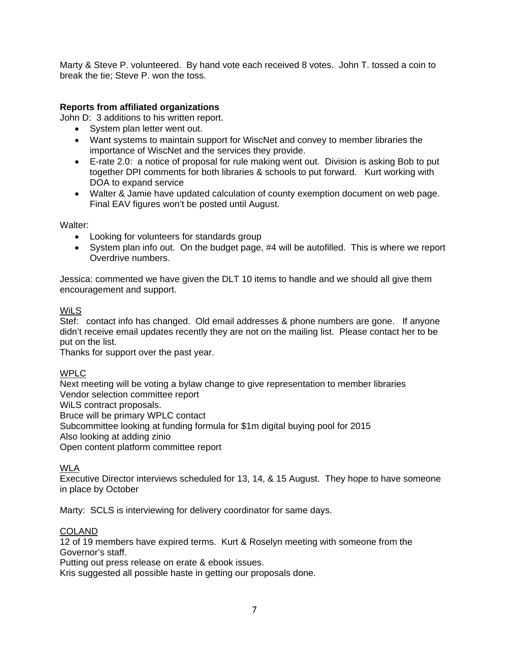Marty & Steve P. volunteered. By hand vote each received 8 votes. John T. tossed a coin to break the tie; Steve P. won the toss.

# **Reports from affiliated organizations**

John D: 3 additions to his written report.

- System plan letter went out.
- Want systems to maintain support for WiscNet and convey to member libraries the importance of WiscNet and the services they provide.
- E-rate 2.0: a notice of proposal for rule making went out. Division is asking Bob to put together DPI comments for both libraries & schools to put forward. Kurt working with DOA to expand service
- Walter & Jamie have updated calculation of county exemption document on web page. Final EAV figures won't be posted until August.

Walter:

- Looking for volunteers for standards group
- System plan info out. On the budget page, #4 will be autofilled. This is where we report Overdrive numbers.

Jessica: commented we have given the DLT 10 items to handle and we should all give them encouragement and support.

### **WiLS**

Stef: contact info has changed. Old email addresses & phone numbers are gone. If anyone didn't receive email updates recently they are not on the mailing list. Please contact her to be put on the list.

Thanks for support over the past year.

# WPLC

Next meeting will be voting a bylaw change to give representation to member libraries Vendor selection committee report

WiLS contract proposals.

Bruce will be primary WPLC contact

Subcommittee looking at funding formula for \$1m digital buying pool for 2015

Also looking at adding zinio

Open content platform committee report

# WLA

Executive Director interviews scheduled for 13, 14, & 15 August. They hope to have someone in place by October

Marty: SCLS is interviewing for delivery coordinator for same days.

# **COLAND**

12 of 19 members have expired terms. Kurt & Roselyn meeting with someone from the Governor's staff.

Putting out press release on erate & ebook issues.

Kris suggested all possible haste in getting our proposals done.